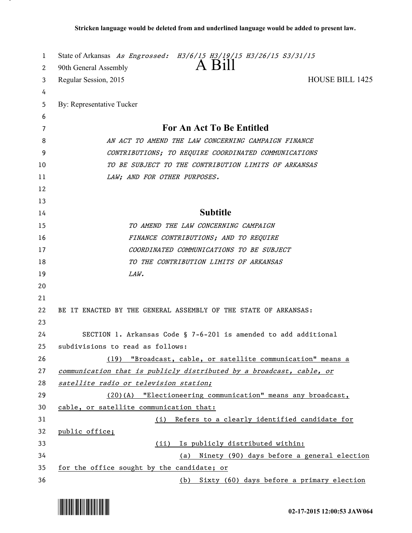| 1  | State of Arkansas As Engrossed: H3/6/15 H3/19/15 H3/26/15 S3/31/15   |
|----|----------------------------------------------------------------------|
| 2  | A Bill<br>90th General Assembly                                      |
| 3  | <b>HOUSE BILL 1425</b><br>Regular Session, 2015                      |
| 4  |                                                                      |
| 5  | By: Representative Tucker                                            |
| 6  |                                                                      |
| 7  | For An Act To Be Entitled                                            |
| 8  | AN ACT TO AMEND THE LAW CONCERNING CAMPAIGN FINANCE                  |
| 9  | CONTRIBUTIONS; TO REQUIRE COORDINATED COMMUNICATIONS                 |
| 10 | TO BE SUBJECT TO THE CONTRIBUTION LIMITS OF ARKANSAS                 |
| 11 | LAW; AND FOR OTHER PURPOSES.                                         |
| 12 |                                                                      |
| 13 |                                                                      |
| 14 | <b>Subtitle</b>                                                      |
| 15 | TO AMEND THE LAW CONCERNING CAMPAIGN                                 |
| 16 | FINANCE CONTRIBUTIONS; AND TO REQUIRE                                |
| 17 | COORDINATED COMMUNICATIONS TO BE SUBJECT                             |
| 18 | TO THE CONTRIBUTION LIMITS OF ARKANSAS                               |
| 19 | LAW.                                                                 |
| 20 |                                                                      |
| 21 |                                                                      |
| 22 | BE IT ENACTED BY THE GENERAL ASSEMBLY OF THE STATE OF ARKANSAS:      |
| 23 |                                                                      |
| 24 | SECTION 1. Arkansas Code § 7-6-201 is amended to add additional      |
| 25 | subdivisions to read as follows:                                     |
| 26 | (19) "Broadcast, cable, or satellite communication" means a          |
| 27 | communication that is publicly distributed by a broadcast, cable, or |
| 28 | satellite radio or television station;                               |
| 29 | (20)(A) "Electioneering communication" means any broadcast,          |
| 30 | cable, or satellite communication that:                              |
| 31 | Refers to a clearly identified candidate for<br>(i)                  |
| 32 | public office;                                                       |
| 33 | Is publicly distributed within:<br>(ii)                              |
| 34 | Ninety (90) days before a general election<br>(a)                    |
| 35 | for the office sought by the candidate; or                           |
| 36 | (b) Sixty (60) days before a primary election                        |



.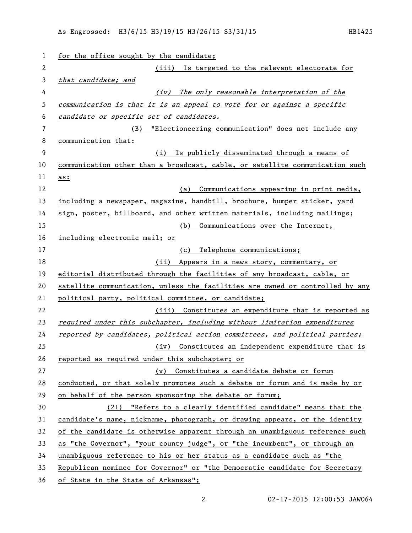| 1            | for the office sought by the candidate;                                       |
|--------------|-------------------------------------------------------------------------------|
| $\mathbf{2}$ | (iii) Is targeted to the relevant electorate for                              |
| 3            | that candidate; and                                                           |
| 4            | The only reasonable interpretation of the<br>(iv)                             |
| 5            | communication is that it is an appeal to vote for or against a specific       |
| 6            | candidate or specific set of candidates.                                      |
| 7            | (B) "Electioneering communication" does not include any                       |
| 8            | communication that:                                                           |
| 9            | Is publicly disseminated through a means of<br>(i)                            |
| 10           | communication other than a broadcast, cable, or satellite communication such  |
| 11           | as:                                                                           |
| 12           | Communications appearing in print media,<br>(a)                               |
| 13           | including a newspaper, magazine, handbill, brochure, bumper sticker, yard     |
| 14           | sign, poster, billboard, and other written materials, including mailings;     |
| 15           | Communications over the Internet,<br>(b)                                      |
| 16           | including electronic mail; or                                                 |
| 17           | Telephone communications;<br>(c)                                              |
| 18           | (ii)<br>Appears in a news story, commentary, or                               |
| 19           | editorial distributed through the facilities of any broadcast, cable, or      |
| 20           | satellite communication, unless the facilities are owned or controlled by any |
| 21           | political party, political committee, or candidate;                           |
| 22           | (iii) Constitutes an expenditure that is reported as                          |
| 23           | required under this subchapter, including without limitation expenditures     |
| 24           | reported by candidates, political action committees, and political parties;   |
| 25           | (iv) Constitutes an independent expenditure that is                           |
| 26           | reported as required under this subchapter; or                                |
| 27           | (v) Constitutes a candidate debate or forum                                   |
| 28           | conducted, or that solely promotes such a debate or forum and is made by or   |
| 29           | on behalf of the person sponsoring the debate or forum;                       |
| 30           | (21) "Refers to a clearly identified candidate" means that the                |
| 31           | candidate's name, nickname, photograph, or drawing appears, or the identity   |
| 32           | of the candidate is otherwise apparent through an unambiguous reference such  |
| 33           | as "the Governor", "your county judge", or "the incumbent", or through an     |
| 34           | unambiguous reference to his or her status as a candidate such as "the        |
| 35           | Republican nominee for Governor" or "the Democratic candidate for Secretary   |
| 36           | of State in the State of Arkansas";                                           |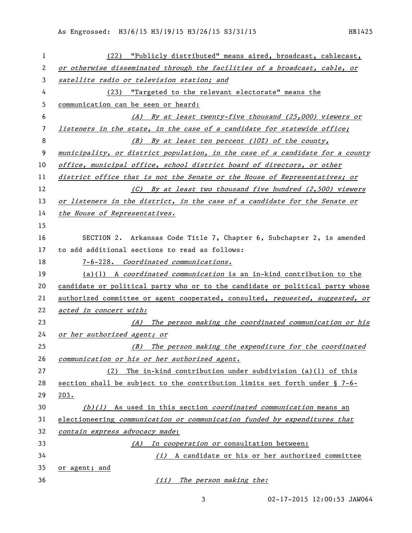| 1            | (22) "Publicly distributed" means aired, broadcast, cablecast,                |
|--------------|-------------------------------------------------------------------------------|
| $\mathbf{2}$ | or otherwise disseminated through the facilities of a broadcast, cable, or    |
| 3            | satellite radio or television station; and                                    |
| 4            | (23) "Targeted to the relevant electorate" means the                          |
| 5            | communication can be seen or heard:                                           |
| 6            | (A) By at least twenty-five thousand (25,000) viewers or                      |
| 7            | listeners in the state, in the case of a candidate for statewide office;      |
| 8            | (B) By at least ten percent (10%) of the county,                              |
| 9            | municipality, or district population, in the case of a candidate for a county |
| 10           | office, municipal office, school district board of directors, or other        |
| 11           | district office that is not the Senate or the House of Representatives; or    |
| 12           | (C) By at least two thousand five hundred (2,500) viewers                     |
| 13           | or listeners in the district, in the case of a candidate for the Senate or    |
| 14           | the House of Representatives.                                                 |
| 15           |                                                                               |
| 16           | SECTION 2. Arkansas Code Title 7, Chapter 6, Subchapter 2, is amended         |
| 17           | to add additional sections to read as follows:                                |
| 18           | 7-6-228. Coordinated communications.                                          |
| 19           | $(a)(1)$ A coordinated communication is an in-kind contribution to the        |
| 20           | candidate or political party who or to the candidate or political party whose |
| 21           | authorized committee or agent cooperated, consulted, requested, suggested, or |
| 22           | acted in concert with:                                                        |
| 23           | (A) The person making the coordinated communication or his                    |
| 24           | or her authorized agent; or                                                   |
| 25           | (B) The person making the expenditure for the coordinated                     |
| 26           | communication or his or her authorized agent.                                 |
| 27           | The in-kind contribution under subdivision $(a)(1)$ of this<br>(2)            |
| 28           | section shall be subject to the contribution limits set forth under § 7-6-    |
| 29           | 203.                                                                          |
| 30           | $(b)(1)$ As used in this section <i>coordinated communication</i> means an    |
| 31           | electioneering communication or communication funded by expenditures that     |
| 32           | contain express advocacy made:                                                |
| 33           | (A) In cooperation or consultation between:                                   |
| 34           | $(i)$ A candidate or his or her authorized committee                          |
| 35           | <u>or agent; and</u>                                                          |
| 36           | (ii) The person making the:                                                   |

02-17-2015 12:00:53 JAW064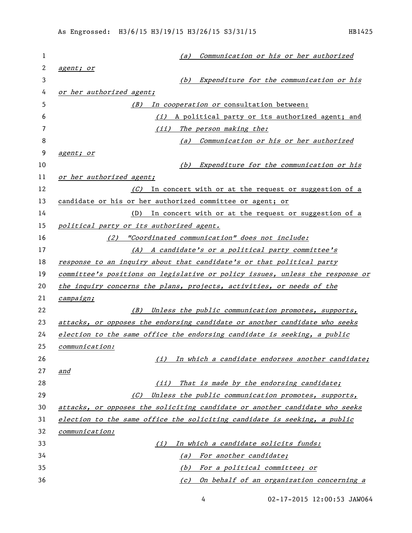| 1  | Communication or his or her authorized<br>(a)                                 |
|----|-------------------------------------------------------------------------------|
| 2  | agent; or                                                                     |
| 3  | Expenditure for the communication or his<br>(b)                               |
| 4  | or her authorized agent;                                                      |
| 5  | In cooperation or consultation between:<br>(B)                                |
| 6  | (i) A political party or its authorized agent; and                            |
| 7  | (ii)<br>The person making the:                                                |
| 8  | (a) Communication or his or her authorized                                    |
| 9  | agent; or                                                                     |
| 10 | Expenditure for the communication or his<br>(b)                               |
| 11 | or her authorized agent;                                                      |
| 12 | (C) In concert with or at the request or suggestion of a                      |
| 13 | candidate or his or her authorized committee or agent; or                     |
| 14 | (D) In concert with or at the request or suggestion of a                      |
| 15 | political party or its authorized agent.                                      |
| 16 | "Coordinated communication" does not include:<br>(2)                          |
| 17 | (A) A candidate's or a political party committee's                            |
| 18 | response to an inquiry about that candidate's or that political party         |
| 19 | committee's positions on legislative or policy issues, unless the response or |
| 20 | the inquiry concerns the plans, projects, activities, or needs of the         |
| 21 | campaign;                                                                     |
| 22 | (B)<br>Unless the public communication promotes, supports,                    |
| 23 | attacks, or opposes the endorsing candidate or another candidate who seeks    |
| 24 | election to the same office the endorsing candidate is seeking, a public      |
| 25 | communication:                                                                |
| 26 | In which a candidate endorses another candidate;<br>(i)                       |
| 27 | and                                                                           |
| 28 | That is made by the endorsing candidate;<br>(iii)                             |
| 29 | Unless the public communication promotes, supports,<br>(C)                    |
| 30 | attacks, or opposes the soliciting candidate or another candidate who seeks   |
| 31 | election to the same office the soliciting candidate is seeking, a public     |
| 32 | <i>communication:</i>                                                         |
| 33 | In which a candidate solicits funds:<br>(i)                                   |
| 34 | For another candidate;<br>(a)                                                 |
| 35 | <u>For a political committee; or</u><br>(b)                                   |
| 36 | On behalf of an organization concerning a<br>(c)                              |

02-17-2015 12:00:53 JAW064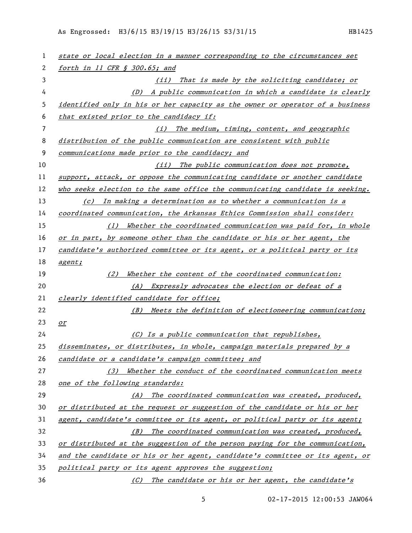| 1  | state or local election in a manner corresponding to the circumstances set    |
|----|-------------------------------------------------------------------------------|
| 2  | forth in 11 CFR § 300.65; and                                                 |
| 3  | (ii) That is made by the soliciting candidate; or                             |
| 4  | A public communication in which a candidate is clearly<br>(D)                 |
| 5  | identified only in his or her capacity as the owner or operator of a business |
| 6  | that existed prior to the candidacy if:                                       |
| 7  | (i) The medium, timing, content, and geographic                               |
| 8  | distribution of the public communication are consistent with public           |
| 9  | communications made prior to the candidacy; and                               |
| 10 | (ii) The public communication does not promote,                               |
| 11 | support, attack, or oppose the communicating candidate or another candidate   |
| 12 | who seeks election to the same office the communicating candidate is seeking. |
| 13 | (c) In making a determination as to whether a communication is a              |
| 14 | coordinated communication, the Arkansas Ethics Commission shall consider:     |
| 15 | (1) Whether the coordinated communication was paid for, in whole              |
| 16 | or in part, by someone other than the candidate or his or her agent, the      |
| 17 | candidate's authorized committee or its agent, or a political party or its    |
| 18 | agent;                                                                        |
| 19 | Whether the content of the coordinated communication:<br>(2)                  |
| 20 | Expressly advocates the election or defeat of a<br>(A)                        |
| 21 | clearly identified candidate for office;                                      |
| 22 | (B) Meets the definition of electioneering communication;                     |
| 23 | or                                                                            |
| 24 | $(C)$ Is a public communication that republishes,                             |
| 25 | disseminates, or distributes, in whole, campaign materials prepared by a      |
| 26 | candidate or a candidate's campaign committee; and                            |
| 27 | Whether the conduct of the coordinated communication meets<br>(3)             |
| 28 | one of the following standards:                                               |
| 29 | The coordinated communication was created, produced,<br>(A)                   |
| 30 | or distributed at the request or suggestion of the candidate or his or her    |
| 31 | agent, candidate's committee or its agent, or political party or its agent;   |
| 32 | (B) The coordinated communication was created, produced,                      |
| 33 | or distributed at the suggestion of the person paying for the communication,  |
| 34 | and the candidate or his or her agent, candidate's committee or its agent, or |
| 35 | political party or its agent approves the suggestion;                         |
| 36 | (C) The candidate or his or her agent, the candidate's                        |

02-17-2015 12:00:53 JAW064